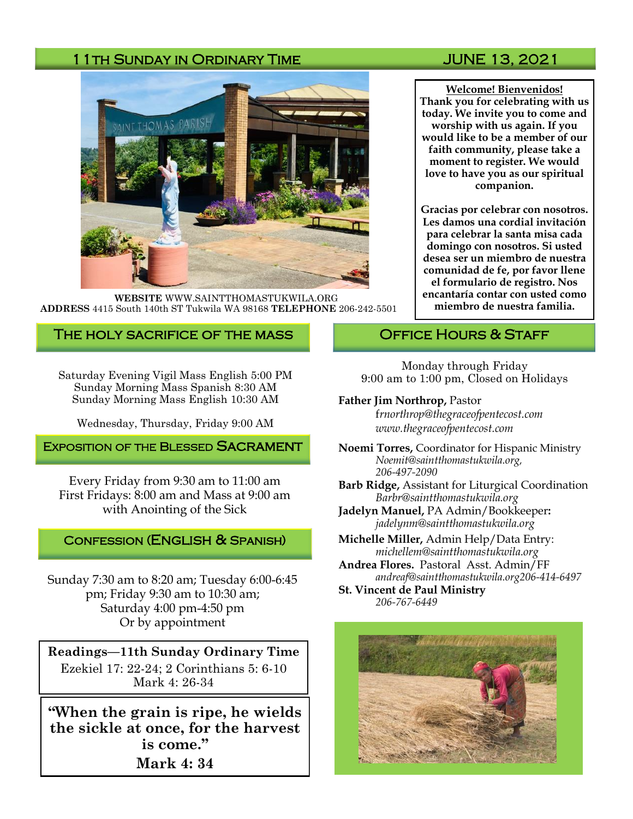# 11TH SUNDAY IN ORDINARY TIME **SUNDAY 14** JUNE 13, 2021



**WEBSITE** WWW.SAINTTHOMASTUKWILA.ORG **ADDRESS** 4415 South 140th ST Tukwila WA 98168 **TELEPHONE** 206-242-5501

## The holy sacrifice of the mass

Saturday Evening Vigil Mass English 5:00 PM Sunday Morning Mass Spanish 8:30 AM Sunday Morning Mass English 10:30 AM

Wednesday, Thursday, Friday 9:00 AM

EXPOSITION OF THE BLESSED SACRAMENT

Every Friday from 9:30 am to 11:00 am First Fridays: 8:00 am and Mass at 9:00 am with Anointing of the Sick

#### Confession (English & Spanish)

Sunday 7:30 am to 8:20 am; Tuesday 6:00-6:45 pm; Friday 9:30 am to 10:30 am; Saturday 4:00 pm-4:50 pm Or by appointment

**Readings—11th Sunday Ordinary Time** Ezekiel 17: 22-24; 2 Corinthians 5: 6-10 Mark 4: 26-34

**"When the grain is ripe, he wields the sickle at once, for the harvest is come." Mark 4: 34**

**Welcome! Bienvenidos! Thank you for celebrating with us today. We invite you to come and worship with us again. If you would like to be a member of our faith community, please take a moment to register. We would love to have you as our spiritual companion.** 

**Gracias por celebrar con nosotros. Les damos una cordial invitación para celebrar la santa misa cada domingo con nosotros. Si usted desea ser un miembro de nuestra comunidad de fe, por favor llene el formulario de registro. Nos encantaría contar con usted como miembro de nuestra familia.**

### OFFICE HOURS & STAFF

Monday through Friday 9:00 am to 1:00 pm, Closed on Holidays

#### **Father Jim Northrop,** Pastor

f*rnorthrop@thegraceofpentecost.com www.thegraceofpentecost.com* 

- **Noemi Torres,** Coordinator for Hispanic Ministry *Noemit@saintthomastukwila.org, 206-497-2090*
- **Barb Ridge,** Assistant for Liturgical Coordination *Barbr@saintthomastukwila.org*
- **Jadelyn Manuel,** PA Admin/Bookkeeper**:**  *jadelynm@saintthomastukwila.org*
- **Michelle Miller,** Admin Help/Data Entry: *michellem@saintthomastukwila.org*
- **Andrea Flores.** Pastoral Asst. Admin/FF *andreaf@saintthomastukwila.org206-414-6497*

**St. Vincent de Paul Ministry** *206-767-6449*

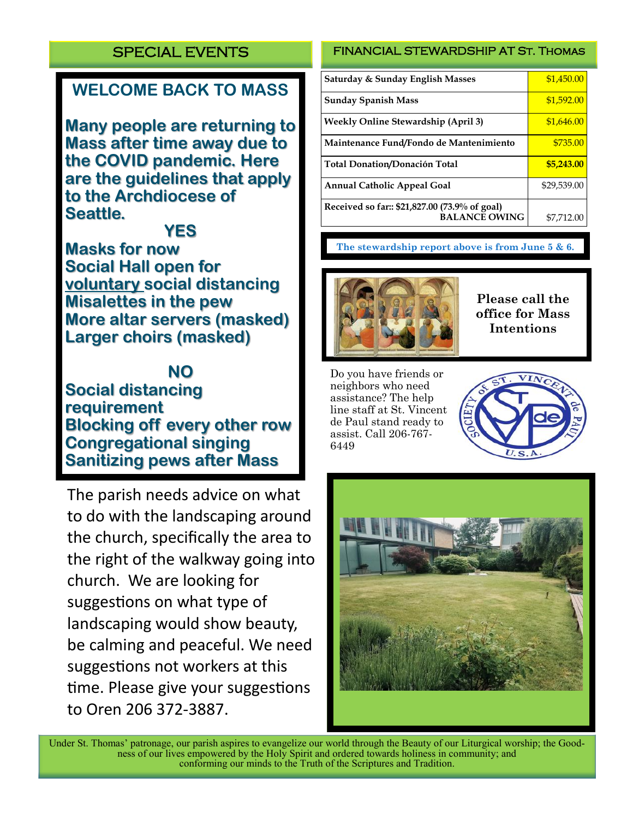# SPECIAL EVENTS

# **WELCOME BACK TO MASS**

**Many people are returning to Mass after time away due to the COVID pandemic. Here are the guidelines that apply to the Archdiocese of Seattle.**

**YES**

**Masks for now Social Hall open for voluntary social distancing Misalettes in the pew More altar servers (masked) Larger choirs (masked)**

**NO**

**Social distancing requirement Blocking off every other row Congregational singing Sanitizing pews after Mass**

The parish needs advice on what to do with the landscaping around the church, specifically the area to the right of the walkway going into church. We are looking for suggestions on what type of landscaping would show beauty, be calming and peaceful. We need suggestions not workers at this time. Please give your suggestions to Oren 206 372-3887.

# FINANCIAL STEWARDSHIP AT St. Thomas

| Saturday & Sunday English Masses                                      | \$1,450.00  |
|-----------------------------------------------------------------------|-------------|
| <b>Sunday Spanish Mass</b>                                            | \$1,592.00  |
| Weekly Online Stewardship (April 3)                                   | \$1,646.00  |
| Maintenance Fund/Fondo de Mantenimiento                               | \$735.00    |
| <b>Total Donation/Donación Total</b>                                  | \$5,243.00  |
| <b>Annual Catholic Appeal Goal</b>                                    | \$29,539.00 |
| Received so far:: \$21,827.00 (73.9% of goal)<br><b>BALANCE OWING</b> | \$7,712.00  |

**The stewardship report above is from June 5 & 6.**



**Please call the office for Mass Intentions**

Do you have friends or neighbors who need assistance? The help line staff at St. Vincent de Paul stand ready to assist. Call 206-767- 6449





Under St. Thomas' patronage, our parish aspires to evangelize our world through the Beauty of our Liturgical worship; the Goodness of our lives empowered by the Holy Spirit and ordered towards holiness in community; and conforming our minds to the Truth of the Scriptures and Tradition.